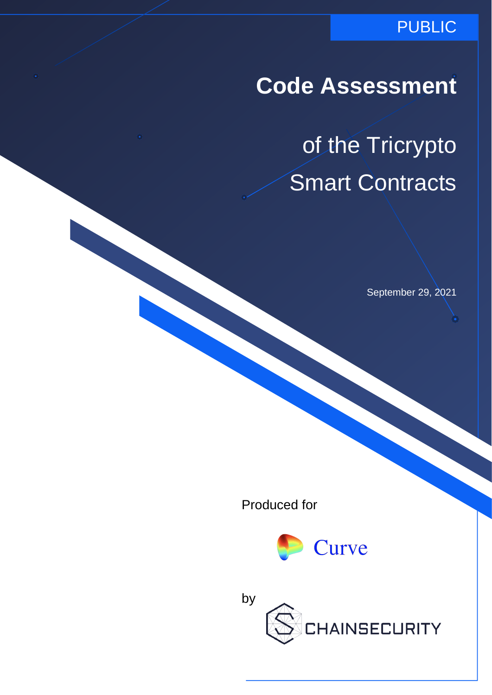### PUBLIC

**Code Assessment**

of the Tricrypto Smart Contracts

September 29, 2021

Produced for



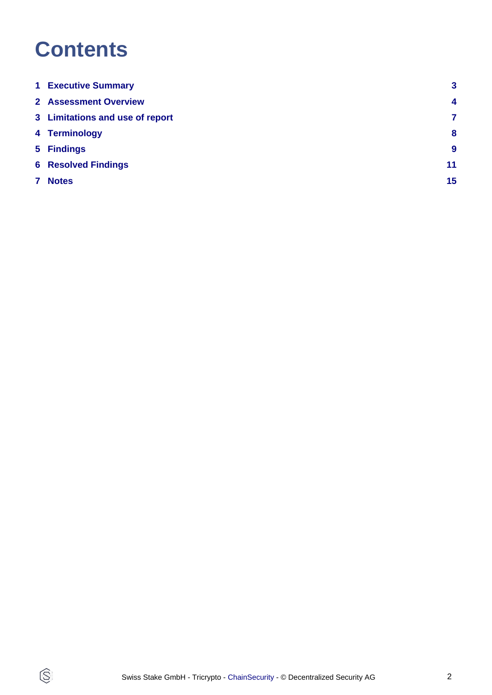# **Contents**

 $\circledS$ 

|   | <b>1 Executive Summary</b>      | 3                |
|---|---------------------------------|------------------|
|   | <b>2 Assessment Overview</b>    | $\boldsymbol{4}$ |
|   | 3 Limitations and use of report | 7                |
|   | 4 Terminology                   | 8                |
|   | 5 Findings                      | $\boldsymbol{9}$ |
|   | <b>6 Resolved Findings</b>      | 11               |
| 7 | <b>Notes</b>                    | 15               |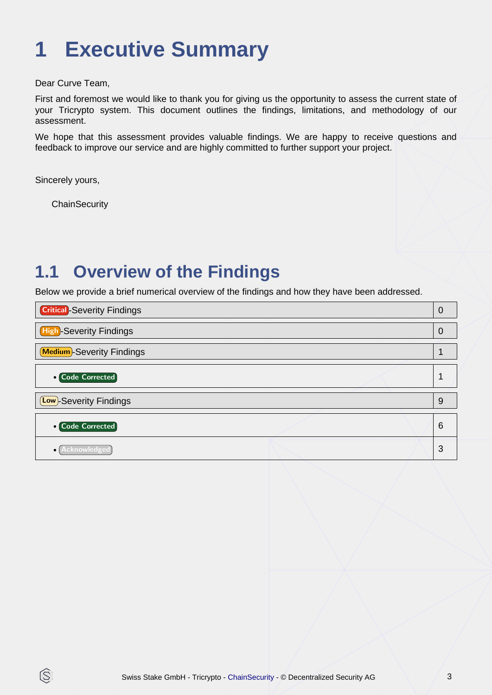# <span id="page-2-0"></span>**1 Executive Summary**

Dear Curve Team,

First and foremost we would like to thank you for giving us the opportunity to assess the current state of your Tricrypto system. This document outlines the findings, limitations, and methodology of our assessment.

We hope that this assessment provides valuable findings. We are happy to receive questions and feedback to improve our service and are highly committed to further support your project.

Sincerely yours,

È

**ChainSecurity** 

## **1.1 Overview of the Findings**

Below we provide a brief numerical overview of the findings and how they have been addressed.

| <b>Critical</b> -Severity Findings | $\overline{0}$ |
|------------------------------------|----------------|
| High-Severity Findings             | $\overline{0}$ |
| <b>Medium</b> -Severity Findings   |                |
| <b>o</b> Code Corrected            |                |
| (Low)-Severity Findings            | 9              |
| <b>o</b> Code Corrected            | 6              |
| $\bullet$                          | 3              |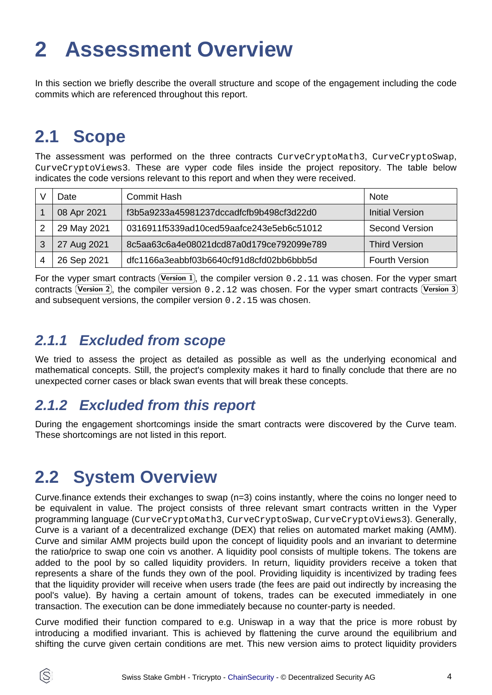# <span id="page-3-0"></span>**2 Assessment Overview**

In this section we briefly describe the overall structure and scope of the engagement including the code commits which are referenced throughout this report.

## **2.1 Scope**

The assessment was performed on the three contracts CurveCryptoMath3, CurveCryptoSwap, CurveCryptoViews3. These are vyper code files inside the project repository. The table below indicates the code versions relevant to this report and when they were received.

|    | Date        | <b>Commit Hash</b>                       | <b>Note</b>           |
|----|-------------|------------------------------------------|-----------------------|
|    | 08 Apr 2021 | f3b5a9233a45981237dccadfcfb9b498cf3d22d0 | Initial Version       |
| 2  | 29 May 2021 | 0316911f5339ad10ced59aafce243e5eb6c51012 | Second Version        |
| -3 | 27 Aug 2021 | 8c5aa63c6a4e08021dcd87a0d179ce792099e789 | <b>Third Version</b>  |
|    | 26 Sep 2021 | dfc1166a3eabbf03b6640cf91d8cfd02bb6bbb5d | <b>Fourth Version</b> |

For the vyper smart contracts (Version 1), the compiler version 0.2.11 was chosen. For the vyper smart contracts (Version 2), the compiler version  $0.2.12$  was chosen. For the vyper smart contracts (Version 3 and subsequent versions, the compiler version 0.2.15 was chosen.

### **2.1.1 Excluded from scope**

We tried to assess the project as detailed as possible as well as the underlying economical and mathematical concepts. Still, the project's complexity makes it hard to finally conclude that there are no unexpected corner cases or black swan events that will break these concepts.

### **2.1.2 Excluded from this report**

During the engagement shortcomings inside the smart contracts were discovered by the Curve team. These shortcomings are not listed in this report.

## **2.2 System Overview**

Curve.finance extends their exchanges to swap (n=3) coins instantly, where the coins no longer need to be equivalent in value. The project consists of three relevant smart contracts written in the Vyper programming language (CurveCryptoMath3, CurveCryptoSwap, CurveCryptoViews3). Generally, Curve is a variant of a decentralized exchange (DEX) that relies on automated market making (AMM). Curve and similar AMM projects build upon the concept of liquidity pools and an invariant to determine the ratio/price to swap one coin vs another. A liquidity pool consists of multiple tokens. The tokens are added to the pool by so called liquidity providers. In return, liquidity providers receive a token that represents a share of the funds they own of the pool. Providing liquidity is incentivized by trading fees that the liquidity provider will receive when users trade (the fees are paid out indirectly by increasing the pool's value). By having a certain amount of tokens, trades can be executed immediately in one transaction. The execution can be done immediately because no counter-party is needed.

Curve modified their function compared to e.g. Uniswap in a way that the price is more robust by introducing a modified invariant. This is achieved by flattening the curve around the equilibrium and shifting the curve given certain conditions are met. This new version aims to protect liquidity providers

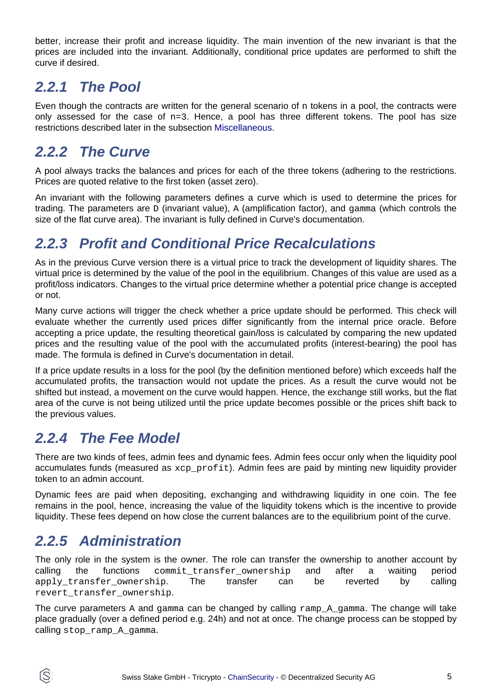better, increase their profit and increase liquidity. The main invention of the new invariant is that the prices are included into the invariant. Additionally, conditional price updates are performed to shift the curve if desired.

### **2.2.1 The Pool**

Even though the contracts are written for the general scenario of  $n$  tokens in a pool, the contracts were only assessed for the case of  $n=3$ . Hence, a pool has three different tokens. The pool has size restrictions described later in the subsection [Miscellaneous](#page-5-0).

### **2.2.2 The Curve**

A pool always tracks the balances and prices for each of the three tokens (adhering to the restrictions. Prices are quoted relative to the first token (asset zero).

An invariant with the following parameters defines a curve which is used to determine the prices for trading. The parameters are D (invariant value), A (amplification factor), and gamma (which controls the size of the flat curve area). The invariant is fully defined in Curve's documentation.

### **2.2.3 Profit and Conditional Price Recalculations**

As in the previous Curve version there is a virtual price to track the development of liquidity shares. The virtual price is determined by the value of the pool in the equilibrium. Changes of this value are used as a profit/loss indicators. Changes to the virtual price determine whether a potential price change is accepted or not.

Many curve actions will trigger the check whether a price update should be performed. This check will evaluate whether the currently used prices differ significantly from the internal price oracle. Before accepting a price update, the resulting theoretical gain/loss is calculated by comparing the new updated prices and the resulting value of the pool with the accumulated profits (interest-bearing) the pool has made. The formula is defined in Curve's documentation in detail.

If a price update results in a loss for the pool (by the definition mentioned before) which exceeds half the accumulated profits, the transaction would not update the prices. As a result the curve would not be shifted but instead, a movement on the curve would happen. Hence, the exchange still works, but the flat area of the curve is not being utilized until the price update becomes possible or the prices shift back to the previous values.

### **2.2.4 The Fee Model**

There are two kinds of fees, admin fees and dynamic fees. Admin fees occur only when the liquidity pool accumulates funds (measured as xcp profit). Admin fees are paid by minting new liquidity provider token to an admin account.

Dynamic fees are paid when depositing, exchanging and withdrawing liquidity in one coin. The fee remains in the pool, hence, increasing the value of the liquidity tokens which is the incentive to provide liquidity. These fees depend on how close the current balances are to the equilibrium point of the curve.

#### **2.2.5 Administration**

(S)

The only role in the system is the owner. The role can transfer the ownership to another account by calling the functions commit\_transfer\_ownership and after a waiting period apply\_transfer\_ownership. The transfer can be reverted by calling revert transfer ownership.

The curve parameters A and gamma can be changed by calling ramp A gamma. The change will take place gradually (over a defined period e.g. 24h) and not at once. The change process can be stopped by calling stop\_ramp\_A\_gamma.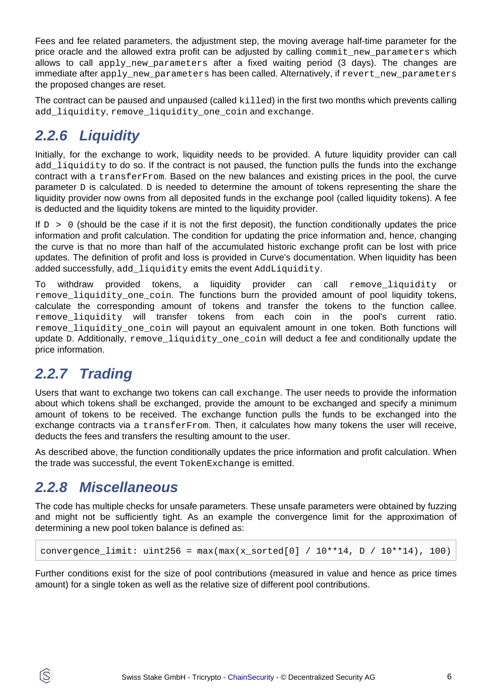Fees and fee related parameters, the adjustment step, the moving average half-time parameter for the price oracle and the allowed extra profit can be adjusted by calling commit new parameters which allows to call apply new parameters after a fixed waiting period (3 days). The changes are immediate after apply\_new\_parameters has been called. Alternatively, if revert\_new\_parameters the proposed changes are reset.

The contract can be paused and unpaused (called killed) in the first two months which prevents calling add\_liquidity, remove\_liquidity\_one\_coin and exchange.

### **2.2.6 Liquidity**

Initially, for the exchange to work, liquidity needs to be provided. A future liquidity provider can call add liquidity to do so. If the contract is not paused, the function pulls the funds into the exchange contract with a transferFrom. Based on the new balances and existing prices in the pool, the curve parameter D is calculated. D is needed to determine the amount of tokens representing the share the liquidity provider now owns from all deposited funds in the exchange pool (called liquidity tokens). A fee is deducted and the liquidity tokens are minted to the liquidity provider.

If  $D > 0$  (should be the case if it is not the first deposit), the function conditionally updates the price information and profit calculation. The condition for updating the price information and, hence, changing the curve is that no more than half of the accumulated historic exchange profit can be lost with price updates. The definition of profit and loss is provided in Curve's documentation. When liquidity has been added successfully, add\_liquidity emits the event AddLiquidity.

To withdraw provided tokens, a liquidity provider can call remove\_liquidity or remove liquidity one coin. The functions burn the provided amount of pool liquidity tokens, calculate the corresponding amount of tokens and transfer the tokens to the function callee. remove\_liquidity will transfer tokens from each coin in the pool's current ratio. remove\_liquidity\_one\_coin will payout an equivalent amount in one token. Both functions will update D. Additionally, remove liquidity one coin will deduct a fee and conditionally update the price information.

### **2.2.7 Trading**

Users that want to exchange two tokens can call exchange. The user needs to provide the information about which tokens shall be exchanged, provide the amount to be exchanged and specify a minimum amount of tokens to be received. The exchange function pulls the funds to be exchanged into the exchange contracts via a transferFrom. Then, it calculates how many tokens the user will receive, deducts the fees and transfers the resulting amount to the user.

As described above, the function conditionally updates the price information and profit calculation. When the trade was successful, the event TokenExchange is emitted.

### <span id="page-5-0"></span>**2.2.8 Miscellaneous**

S

The code has multiple checks for unsafe parameters. These unsafe parameters were obtained by fuzzing and might not be sufficiently tight. As an example the convergence limit for the approximation of determining a new pool token balance is defined as:

convergence\_limit:  $uint256 = max(max(x_sorted[0] / 10**14, D / 10**14), 100)$ 

Further conditions exist for the size of pool contributions (measured in value and hence as price times amount) for a single token as well as the relative size of different pool contributions.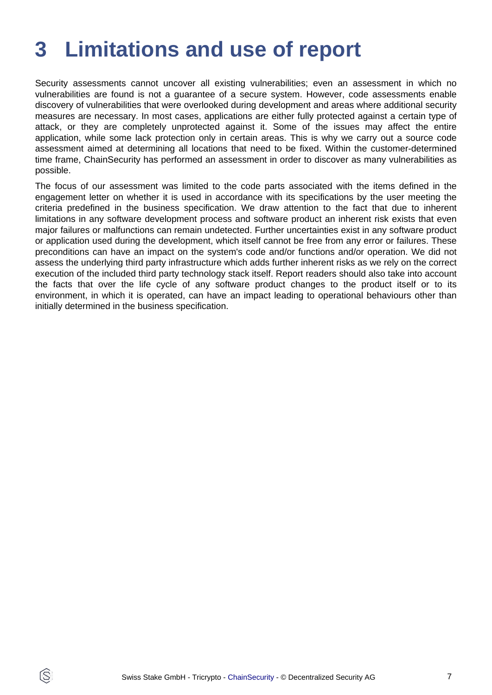# <span id="page-6-0"></span>**3 Limitations and use of report**

Security assessments cannot uncover all existing vulnerabilities; even an assessment in which no vulnerabilities are found is not a guarantee of a secure system. However, code assessments enable discovery of vulnerabilities that were overlooked during development and areas where additional security measures are necessary. In most cases, applications are either fully protected against a certain type of attack, or they are completely unprotected against it. Some of the issues may affect the entire application, while some lack protection only in certain areas. This is why we carry out a source code assessment aimed at determining all locations that need to be fixed. Within the customer-determined time frame, ChainSecurity has performed an assessment in order to discover as many vulnerabilities as possible.

The focus of our assessment was limited to the code parts associated with the items defined in the engagement letter on whether it is used in accordance with its specifications by the user meeting the criteria predefined in the business specification. We draw attention to the fact that due to inherent limitations in any software development process and software product an inherent risk exists that even major failures or malfunctions can remain undetected. Further uncertainties exist in any software product or application used during the development, which itself cannot be free from any error or failures. These preconditions can have an impact on the system's code and/or functions and/or operation. We did not assess the underlying third party infrastructure which adds further inherent risks as we rely on the correct execution of the included third party technology stack itself. Report readers should also take into account the facts that over the life cycle of any software product changes to the product itself or to its environment, in which it is operated, can have an impact leading to operational behaviours other than initially determined in the business specification.

ÍS.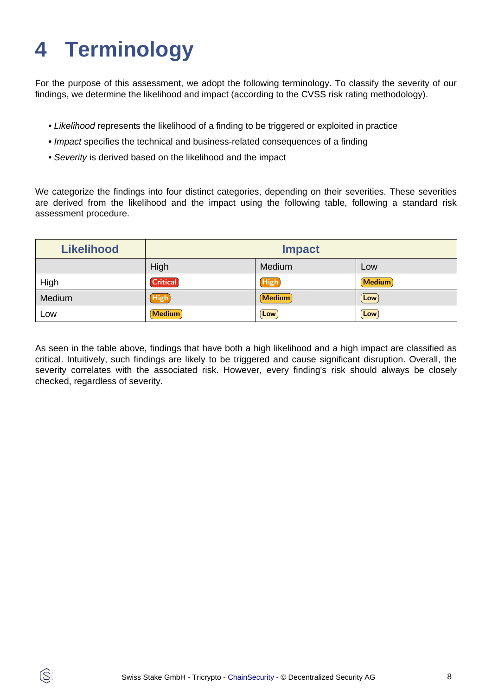# <span id="page-7-0"></span>**4 Terminology**

ÍŜ

For the purpose of this assessment, we adopt the following terminology. To classify the severity of our findings, we determine the likelihood and impact (according to the CVSS risk rating methodology).

- Likelihood represents the likelihood of a finding to be triggered or exploited in practice
- Impact specifies the technical and business-related consequences of a finding
- Severity is derived based on the likelihood and the impact

We categorize the findings into four distinct categories, depending on their severities. These severities are derived from the likelihood and the impact using the following table, following a standard risk assessment procedure.

| <b>Likelihood</b> | <b>Impact</b>   |             |               |
|-------------------|-----------------|-------------|---------------|
|                   | High            | Medium      | Low           |
| High              | <b>Critical</b> | High        | <b>Medium</b> |
| Medium            | <b>High</b>     | Medium      | Low           |
| Low               | <b>Medium</b>   | $[$ Low $]$ | Low           |

As seen in the table above, findings that have both a high likelihood and a high impact are classified as critical. Intuitively, such findings are likely to be triggered and cause significant disruption. Overall, the severity correlates with the associated risk. However, every finding's risk should always be closely checked, regardless of severity.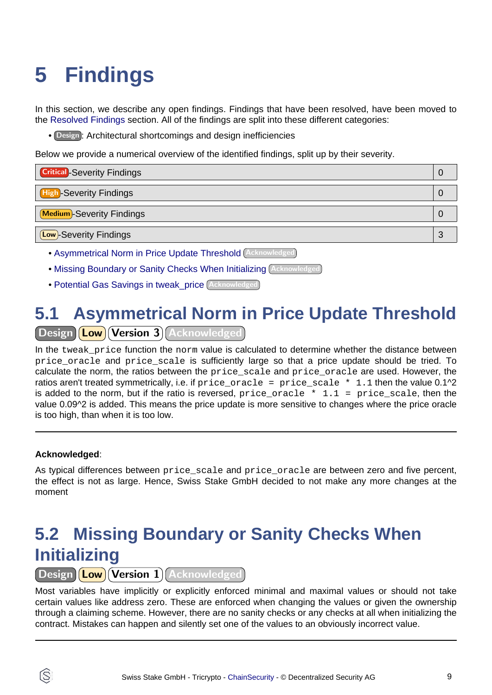# <span id="page-8-3"></span><span id="page-8-0"></span>**5 Findings**

In this section, we describe any open findings. Findings that have been resolved, have been moved to the [Resolved Findings](#page-10-1) section. All of the findings are split into these different categories:

• Design : Architectural shortcomings and design inefficiencies

Below we provide a numerical overview of the identified findings, split up by their severity.

| <b>Critical</b> - Severity Findings |   |
|-------------------------------------|---|
| <b>High-Severity Findings</b>       |   |
| Medium-Severity Findings            |   |
| (Low)-Severity Findings             | n |

- [Asymmetrical Norm in Price Update Threshold](#page-8-1) Acknowledged
- [Missing Boundary or Sanity Checks When Initializing](#page-8-2) Acknowledged
- [Potential Gas Savings in tweak\\_price](#page-9-0) Acknowledged

# <span id="page-8-1"></span>**5.1 Asymmetrical Norm in Price Update Threshold**

Design (Low) Version 3) Acknowledged

In the tweak price function the norm value is calculated to determine whether the distance between price oracle and price scale is sufficiently large so that a price update should be tried. To calculate the norm, the ratios between the price scale and price oracle are used. However, the ratios aren't treated symmetrically, i.e. if price\_oracle = price\_scale \* 1.1 then the value 0.1^2 is added to the norm, but if the ratio is reversed,  $price\_oracle * 1.1 = price\_scale$ , then the value 0.09^2 is added. This means the price update is more sensitive to changes where the price oracle is too high, than when it is too low.

#### **Acknowledged**:

As typical differences between price\_scale and price\_oracle are between zero and five percent, the effect is not as large. Hence, Swiss Stake GmbH decided to not make any more changes at the moment

## <span id="page-8-2"></span>**5.2 Missing Boundary or Sanity Checks When Initializing**

Design **Low** Version 1 Acknowledged

Most variables have implicitly or explicitly enforced minimal and maximal values or should not take certain values like address zero. These are enforced when changing the values or given the ownership through a claiming scheme. However, there are no sanity checks or any checks at all when initializing the contract. Mistakes can happen and silently set one of the values to an obviously incorrect value.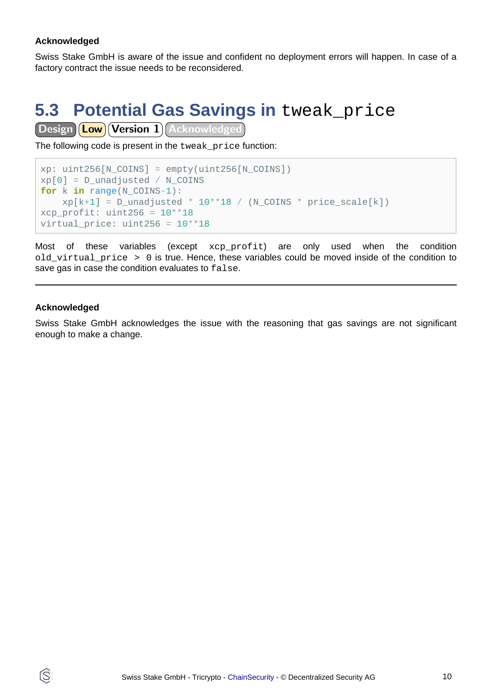#### **Acknowledged**

Swiss Stake GmbH is aware of the issue and confident no deployment errors will happen. In case of a factory contract the issue needs to be reconsidered.

# <span id="page-9-0"></span>**5.3 Potential Gas Savings in tweak\_price**

Design **Low** Version 1 Acknowledged

The following code is present in the tweak\_price function:

```
xp: uint256[N COINS] = empty(uint256[N COINS])
xp[0] = D unadjusted / N COINS
for k in range(N_COINS-1):
   xp[k+1] = D\_unadjusted * 10**18 / (N\_COINS * price\_scale[k])xcp profit: uint256 = 10**18virtual_price: uint256 = 10**18
```
Most of these variables (except xcp\_profit) are only used when the condition old virtual price  $> 0$  is true. Hence, these variables could be moved inside of the condition to save gas in case the condition evaluates to false.

#### **Acknowledged**

ĺS

Swiss Stake GmbH acknowledges the issue with the reasoning that gas savings are not significant enough to make a change.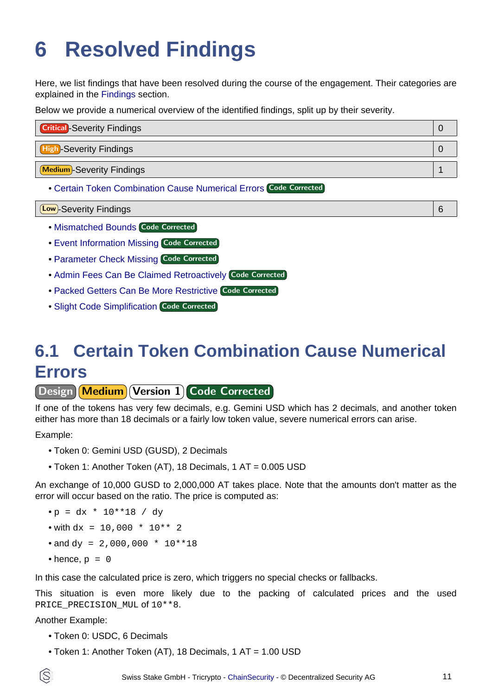# <span id="page-10-1"></span><span id="page-10-0"></span>**6 Resolved Findings**

Here, we list findings that have been resolved during the course of the engagement. Their categories are explained in the [Findings](#page-8-3) section.

Below we provide a numerical overview of the identified findings, split up by their severity.

| <b>Critical</b> -Severity Findings |  |
|------------------------------------|--|
| <b>High-Severity Findings</b>      |  |
| Medium-Severity Findings           |  |

• [Certain Token Combination Cause Numerical Errors](#page-10-2) Code Corrected

Low -Severity Findings 6

- [Mismatched Bounds](#page-11-0) Code Corrected
- [Event Information Missing](#page-11-1) Code Corrected
- [Parameter Check Missing](#page-11-2) Code Corrected
- [Admin Fees Can Be Claimed Retroactively](#page-12-0) Code Corrected
- [Packed Getters Can Be More Restrictive](#page-12-1) Code Corrected
- **[Slight Code Simplification](#page-13-0) Code Corrected**

# <span id="page-10-2"></span>**6.1 Certain Token Combination Cause Numerical Errors**

Design Medium Version 1 Code Corrected

If one of the tokens has very few decimals, e.g. Gemini USD which has 2 decimals, and another token either has more than 18 decimals or a fairly low token value, severe numerical errors can arise.

Example:

- Token 0: Gemini USD (GUSD), 2 Decimals
- Token 1: Another Token (AT), 18 Decimals, 1 AT = 0.005 USD

An exchange of 10,000 GUSD to 2,000,000 AT takes place. Note that the amounts don't matter as the error will occur based on the ratio. The price is computed as:

- $\bullet p = dx * 10**18 / dy$
- with  $dx = 10,000 * 10** 2$
- and  $dy = 2,000,000 * 10**18$
- hence,  $p = 0$

In this case the calculated price is zero, which triggers no special checks or fallbacks.

This situation is even more likely due to the packing of calculated prices and the used PRICE\_PRECISION\_MUL of 10\*\*8.

#### Another Example:

- Token 0: USDC, 6 Decimals
- Token 1: Another Token (AT), 18 Decimals, 1 AT = 1.00 USD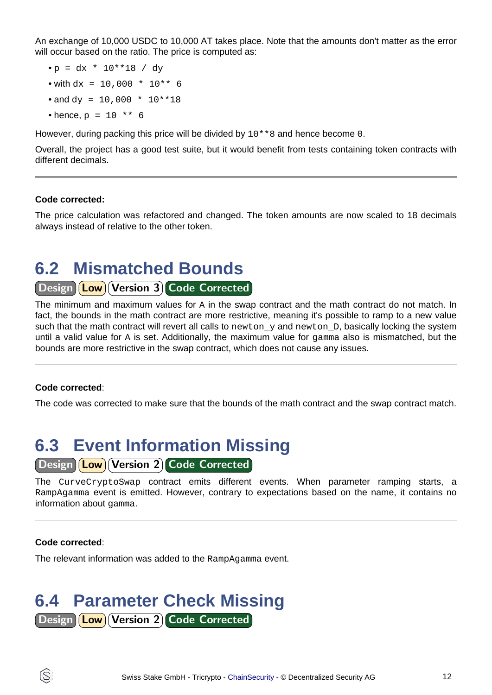An exchange of 10,000 USDC to 10,000 AT takes place. Note that the amounts don't matter as the error will occur based on the ratio. The price is computed as:

- $p = dx * 10**18 / dy$
- with  $dx = 10,000 * 10** 6$
- and  $dy = 10,000 * 10**18$
- hence,  $p = 10$  \*\* 6

However, during packing this price will be divided by 10\*\*8 and hence become 0.

Overall, the project has a good test suite, but it would benefit from tests containing token contracts with different decimals.

#### **Code corrected:**

The price calculation was refactored and changed. The token amounts are now scaled to 18 decimals always instead of relative to the other token.

### <span id="page-11-0"></span>**6.2 Mismatched Bounds**

#### Design **Low** Version 3 Code Corrected

The minimum and maximum values for A in the swap contract and the math contract do not match. In fact, the bounds in the math contract are more restrictive, meaning it's possible to ramp to a new value such that the math contract will revert all calls to newton\_y and newton\_D, basically locking the system until a valid value for A is set. Additionally, the maximum value for gamma also is mismatched, but the bounds are more restrictive in the swap contract, which does not cause any issues.

#### **Code corrected**:

The code was corrected to make sure that the bounds of the math contract and the swap contract match.

# <span id="page-11-1"></span>**6.3 Event Information Missing**

#### Design **Low** Version 2 Code Corrected

The CurveCryptoSwap contract emits different events. When parameter ramping starts, a RampAgamma event is emitted. However, contrary to expectations based on the name, it contains no information about gamma.

#### **Code corrected**:

ĺS

The relevant information was added to the RampAgamma event.

### <span id="page-11-2"></span>**6.4 Parameter Check Missing** Design Low Version 2 Code Corrected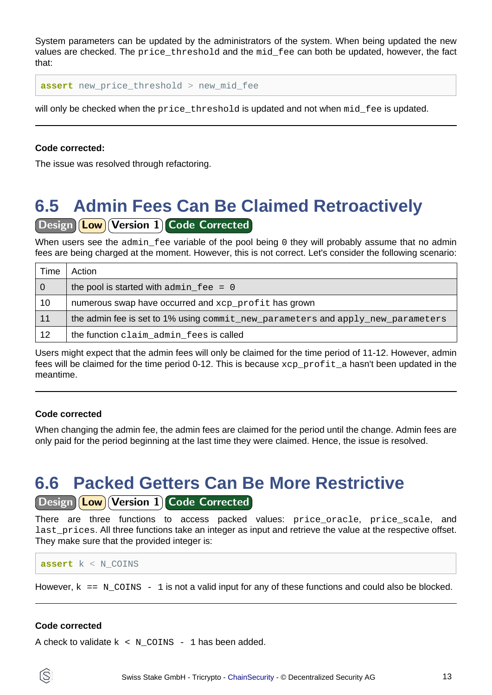System parameters can be updated by the administrators of the system. When being updated the new values are checked. The price threshold and the mid fee can both be updated, however, the fact that:

**assert** new\_price\_threshold > new\_mid\_fee

will only be checked when the price\_threshold is updated and not when mid\_fee is updated.

#### **Code corrected:**

The issue was resolved through refactoring.

## <span id="page-12-0"></span>**6.5 Admin Fees Can Be Claimed Retroactively**

#### Design (Low) Version 1 Code Corrected

When users see the admin fee variable of the pool being 0 they will probably assume that no admin fees are being charged at the moment. However, this is not correct. Let's consider the following scenario:

| Time           | Action                                                                          |
|----------------|---------------------------------------------------------------------------------|
| $\overline{0}$ | the pool is started with $\alpha$ dmin $\beta$ = 0                              |
| 10             | numerous swap have occurred and xcp_profit has grown                            |
| 11             | the admin fee is set to 1% using commit_new_parameters and apply_new_parameters |
| 12             | the function claim admin fees is called                                         |

Users might expect that the admin fees will only be claimed for the time period of 11-12. However, admin fees will be claimed for the time period 0-12. This is because xcp\_profit\_a hasn't been updated in the meantime.

#### **Code corrected**

When changing the admin fee, the admin fees are claimed for the period until the change. Admin fees are only paid for the period beginning at the last time they were claimed. Hence, the issue is resolved.

### <span id="page-12-1"></span>**6.6 Packed Getters Can Be More Restrictive**

#### Design **Low** Version 1 Code Corrected

There are three functions to access packed values: price\_oracle, price\_scale, and last prices. All three functions take an integer as input and retrieve the value at the respective offset. They make sure that the provided integer is:

```
assert k < N_COINS
```
However,  $k = N_{C}$  = N\_COINS - 1 is not a valid input for any of these functions and could also be blocked.

#### **Code corrected**

A check to validate  $k \leq N$  COINS - 1 has been added.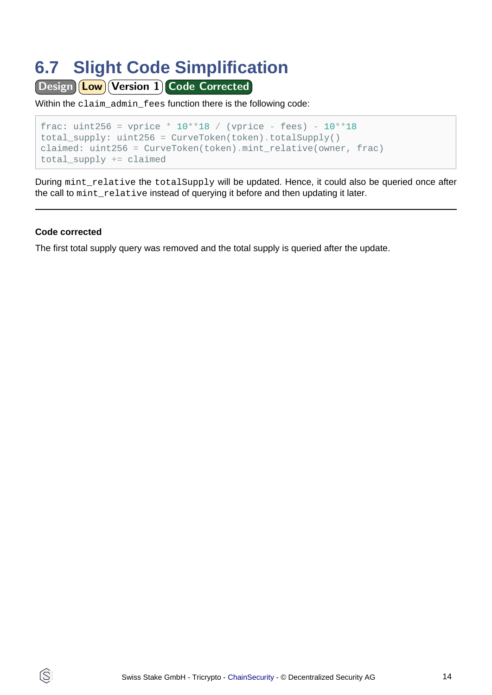## <span id="page-13-0"></span>**6.7 Slight Code Simplification**

Design **Low** Version 1 Code Corrected

Within the claim\_admin\_fees function there is the following code:

```
frac: uint256 = vprice * 10^{**}18 / (vprice - fees) - 10^{**}18total_supply: uint256 = CurveToken(token).totalSupply()
claimed: uint256 = CurveToken(token).mint_relative(owner, frac)
total supply += claimed
```
During mint\_relative the totalSupply will be updated. Hence, it could also be queried once after the call to mint\_relative instead of querying it before and then updating it later.

#### **Code corrected**

ß

The first total supply query was removed and the total supply is queried after the update.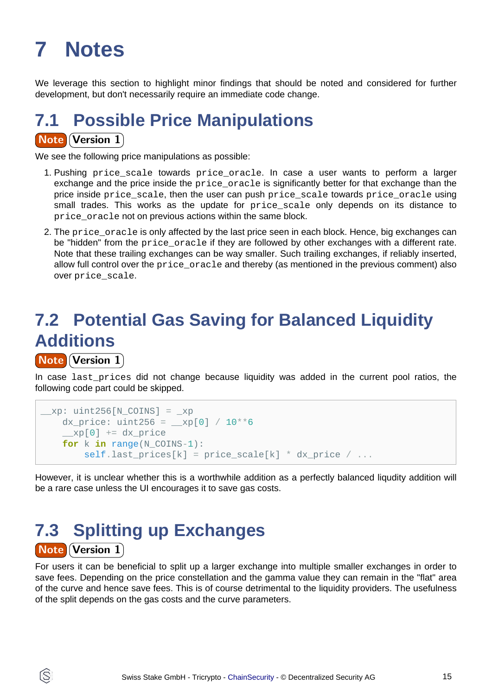# <span id="page-14-0"></span>**7 Notes**

We leverage this section to highlight minor findings that should be noted and considered for further development, but don't necessarily require an immediate code change.

# **7.1 Possible Price Manipulations**

#### **Note Version 1**

We see the following price manipulations as possible:

- 1. Pushing price\_scale towards price\_oracle. In case a user wants to perform a larger exchange and the price inside the price\_oracle is significantly better for that exchange than the price inside price scale, then the user can push price scale towards price oracle using small trades. This works as the update for  $\text{price scale}$  only depends on its distance to price\_oracle not on previous actions within the same block.
- 2. The price oracle is only affected by the last price seen in each block. Hence, big exchanges can be "hidden" from the price oracle if they are followed by other exchanges with a different rate. Note that these trailing exchanges can be way smaller. Such trailing exchanges, if reliably inserted, allow full control over the price\_oracle and thereby (as mentioned in the previous comment) also over price scale.

# **7.2 Potential Gas Saving for Balanced Liquidity Additions**

**Note Version 1** 

Ĝ.

In case last prices did not change because liquidity was added in the current pool ratios, the following code part could be skipped.

```
xp: uint256[N COINS] = xpdx_price: uint256 = _{\text{xp}}[0] / 10^{**}6\text{exp}[0] += dx price
   for k in range(N_COINS-1):
      selfu = price\_scale[k] * d x\_price / ...
```
However, it is unclear whether this is a worthwhile addition as a perfectly balanced liqudity addition will be a rare case unless the UI encourages it to save gas costs.

## **7.3 Splitting up Exchanges Note Version 1**

For users it can be beneficial to split up a larger exchange into multiple smaller exchanges in order to save fees. Depending on the price constellation and the gamma value they can remain in the "flat" area of the curve and hence save fees. This is of course detrimental to the liquidity providers. The usefulness of the split depends on the gas costs and the curve parameters.